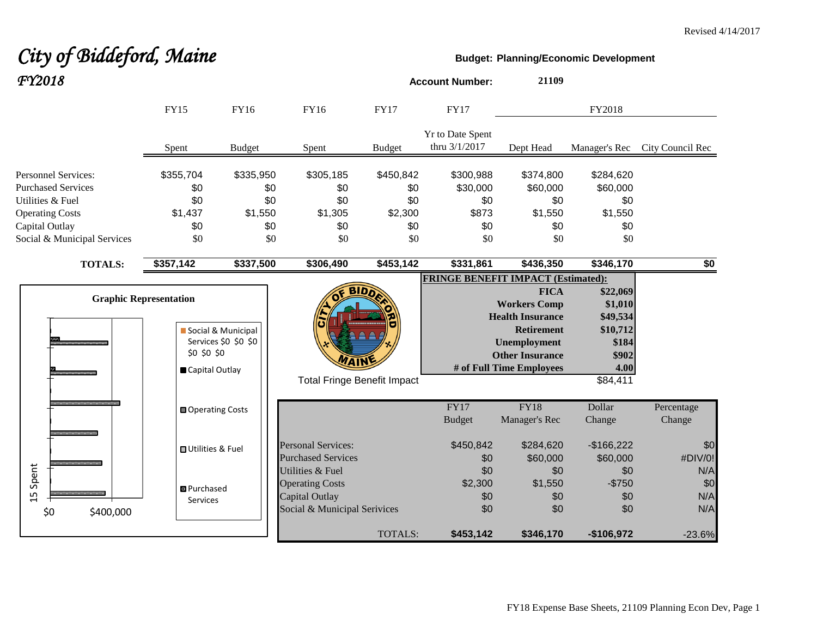#### Revised 4/14/2017

# *City of Biddeford, Maine* **Budget:** Planning/Economic Development *FY2018* **Account Number: <sup>21109</sup>**

|                               | <b>FY15</b>                   | FY16                 | FY16                               | <b>FY17</b>   | <b>FY17</b>                       |                                           | FY2018        |                  |
|-------------------------------|-------------------------------|----------------------|------------------------------------|---------------|-----------------------------------|-------------------------------------------|---------------|------------------|
|                               | Spent                         | <b>Budget</b>        | Spent                              | <b>Budget</b> | Yr to Date Spent<br>thru 3/1/2017 | Dept Head                                 | Manager's Rec | City Council Rec |
| <b>Personnel Services:</b>    | \$355,704                     | \$335,950            | \$305,185                          | \$450,842     | \$300,988                         | \$374,800                                 | \$284,620     |                  |
| <b>Purchased Services</b>     | \$0                           | \$0                  | \$0                                | \$0           | \$30,000                          | \$60,000                                  | \$60,000      |                  |
| Utilities & Fuel              | \$0                           | \$0                  | \$0                                | \$0           | \$0                               | \$0                                       | \$0           |                  |
| <b>Operating Costs</b>        | \$1,437                       | \$1,550              | \$1,305                            | \$2,300       | \$873                             | \$1,550                                   | \$1,550       |                  |
| Capital Outlay                | \$0                           | \$0                  | \$0                                | \$0           | \$0                               | \$0                                       | \$0           |                  |
| Social & Municipal Services   | \$0                           | \$0                  | \$0                                | \$0           | \$0                               | \$0                                       | \$0           |                  |
| <b>TOTALS:</b>                | \$357,142                     | \$337,500            | \$306,490                          | \$453,142     | \$331,861                         | \$436,350                                 | \$346,170     | \$0              |
|                               |                               |                      |                                    |               |                                   | <b>FRINGE BENEFIT IMPACT (Estimated):</b> |               |                  |
|                               |                               |                      |                                    | <b>BIDD</b>   |                                   | <b>FICA</b>                               | \$22,069      |                  |
|                               | <b>Graphic Representation</b> |                      |                                    |               |                                   | <b>Workers Comp</b>                       | \$1,010       |                  |
|                               |                               |                      |                                    |               |                                   | <b>Health Insurance</b>                   | \$49,534      |                  |
|                               |                               | Social & Municipal   |                                    |               |                                   | <b>Retirement</b>                         | \$10,712      |                  |
|                               |                               | Services \$0 \$0 \$0 |                                    |               |                                   | <b>Unemployment</b>                       | \$184         |                  |
|                               | \$0 \$0 \$0                   |                      |                                    |               |                                   | <b>Other Insurance</b>                    | \$902         |                  |
|                               | Capital Outlay                |                      |                                    |               |                                   | # of Full Time Employees                  | 4.00          |                  |
|                               |                               |                      | <b>Total Fringe Benefit Impact</b> |               |                                   |                                           | \$84,411      |                  |
|                               | <b>□</b> Operating Costs      |                      |                                    |               | FY17                              | FY18                                      | Dollar        | Percentage       |
|                               |                               |                      |                                    |               | <b>Budget</b>                     | Manager's Rec                             | Change        | Change           |
|                               | <b>□</b> Utilities & Fuel     |                      | <b>Personal Services:</b>          |               | \$450,842                         | \$284,620                                 | $-$166,222$   | \$0              |
|                               |                               |                      | <b>Purchased Services</b>          |               | \$0                               | \$60,000                                  | \$60,000      | #DIV/0!          |
| Spent                         |                               |                      | Utilities & Fuel                   |               | \$0                               | \$0                                       | \$0           | N/A              |
|                               | 图 Purchased                   |                      | <b>Operating Costs</b>             |               | \$2,300                           | \$1,550                                   | $-$750$       | \$0              |
| L<br>$\mathrel{\blacksquare}$ | Services                      |                      | <b>Capital Outlay</b>              |               | \$0                               | \$0                                       | \$0           | N/A              |
| \$0<br>\$400,000              |                               |                      | Social & Municipal Serivices       |               | \$0                               | \$0                                       | \$0           | N/A              |
|                               |                               |                      |                                    | TOTALS:       | \$453,142                         | \$346,170                                 | $-$106,972$   | $-23.6%$         |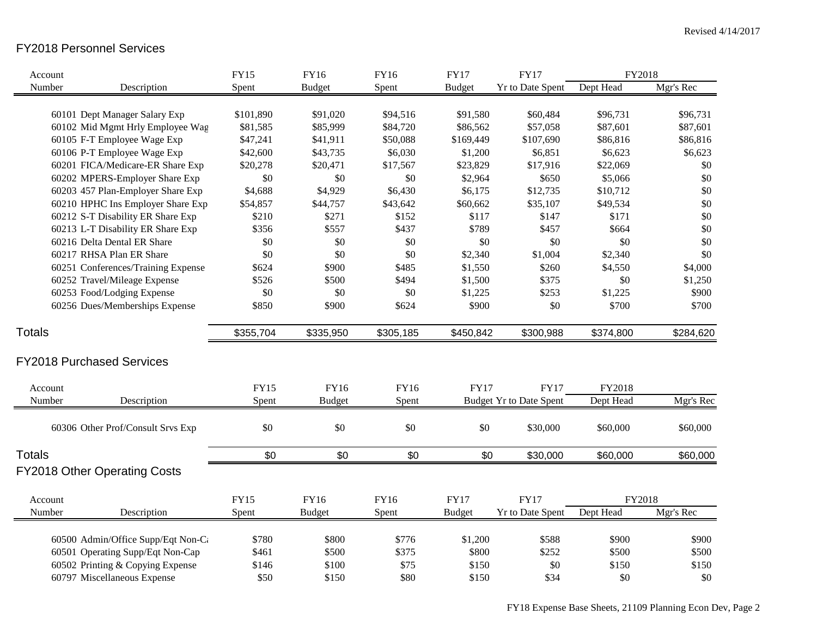# FY2018 Personnel Services

| Account       |                                     | <b>FY15</b> | <b>FY16</b>   | FY16        | <b>FY17</b>   | <b>FY17</b>                    | FY2018    |           |
|---------------|-------------------------------------|-------------|---------------|-------------|---------------|--------------------------------|-----------|-----------|
| Number        | Description                         | Spent       | <b>Budget</b> | Spent       | <b>Budget</b> | Yr to Date Spent               | Dept Head | Mgr's Rec |
|               |                                     |             |               |             |               |                                |           |           |
|               | 60101 Dept Manager Salary Exp       | \$101,890   | \$91,020      | \$94,516    | \$91,580      | \$60,484                       | \$96,731  | \$96,731  |
|               | 60102 Mid Mgmt Hrly Employee Wag    | \$81,585    | \$85,999      | \$84,720    | \$86,562      | \$57,058                       | \$87,601  | \$87,601  |
|               | 60105 F-T Employee Wage Exp         | \$47,241    | \$41,911      | \$50,088    | \$169,449     | \$107,690                      | \$86,816  | \$86,816  |
|               | 60106 P-T Employee Wage Exp         | \$42,600    | \$43,735      | \$6,030     | \$1,200       | \$6,851                        | \$6,623   | \$6,623   |
|               | 60201 FICA/Medicare-ER Share Exp    | \$20,278    | \$20,471      | \$17,567    | \$23,829      | \$17,916                       | \$22,069  | \$0       |
|               | 60202 MPERS-Employer Share Exp      | $\$0$       | \$0           | \$0         | \$2,964       | \$650                          | \$5,066   | \$0       |
|               | 60203 457 Plan-Employer Share Exp   | \$4,688     | \$4,929       | \$6,430     | \$6,175       | \$12,735                       | \$10,712  | \$0       |
|               | 60210 HPHC Ins Employer Share Exp   | \$54,857    | \$44,757      | \$43,642    | \$60,662      | \$35,107                       | \$49,534  | \$0       |
|               | 60212 S-T Disability ER Share Exp   | \$210       | \$271         | \$152       | \$117         | \$147                          | \$171     | \$0       |
|               | 60213 L-T Disability ER Share Exp   | \$356       | \$557         | \$437       | \$789         | \$457                          | \$664     | \$0       |
|               | 60216 Delta Dental ER Share         | \$0         | \$0           | \$0         | \$0           | \$0                            | \$0       | \$0       |
|               | 60217 RHSA Plan ER Share            | \$0         | \$0           | \$0         | \$2,340       | \$1,004                        | \$2,340   | \$0       |
|               | 60251 Conferences/Training Expense  | \$624       | \$900         | \$485       | \$1,550       | \$260                          | \$4,550   | \$4,000   |
|               | 60252 Travel/Mileage Expense        | \$526       | \$500         | \$494       | \$1,500       | \$375                          | \$0       | \$1,250   |
|               | 60253 Food/Lodging Expense          | \$0         | \$0           | \$0         | \$1,225       | \$253                          | \$1,225   | \$900     |
|               | 60256 Dues/Memberships Expense      | \$850       | \$900         | \$624       | \$900         | \$0                            | \$700     | \$700     |
| <b>Totals</b> |                                     | \$355,704   | \$335,950     | \$305,185   | \$450,842     | \$300,988                      | \$374,800 | \$284,620 |
|               | <b>FY2018 Purchased Services</b>    |             |               |             |               |                                |           |           |
| Account       |                                     | <b>FY15</b> | FY16          | <b>FY16</b> | <b>FY17</b>   | FY17                           | FY2018    |           |
| Number        | Description                         | Spent       | <b>Budget</b> | Spent       |               | <b>Budget Yr to Date Spent</b> | Dept Head | Mgr's Rec |
|               |                                     |             |               |             |               |                                |           |           |
|               | 60306 Other Prof/Consult Srvs Exp   | $\$0$       | \$0           | \$0         | \$0           | \$30,000                       | \$60,000  | \$60,000  |
| <b>Totals</b> |                                     | \$0         | \$0           | \$0         | \$0           | \$30,000                       | \$60,000  | \$60,000  |
|               | <b>FY2018 Other Operating Costs</b> |             |               |             |               |                                |           |           |
| Account       |                                     | <b>FY15</b> | <b>FY16</b>   | FY16        | <b>FY17</b>   | <b>FY17</b>                    | FY2018    |           |
| Number        | Description                         | Spent       | <b>Budget</b> | Spent       | <b>Budget</b> | Yr to Date Spent               | Dept Head | Mgr's Rec |
|               |                                     |             |               |             |               |                                |           |           |
|               | 60500 Admin/Office Supp/Eqt Non-Ca  | \$780       | \$800         | \$776       | \$1,200       | \$588                          | \$900     | \$900     |
|               | 60501 Operating Supp/Eqt Non-Cap    | \$461       | \$500         | \$375       | \$800         | \$252                          | \$500     | \$500     |
|               | 60502 Printing & Copying Expense    | \$146       | \$100         | \$75        | \$150         | \$0                            | \$150     | \$150     |
|               | 60797 Miscellaneous Expense         | \$50        | \$150         | \$80        | \$150         | \$34                           | \$0       | \$0       |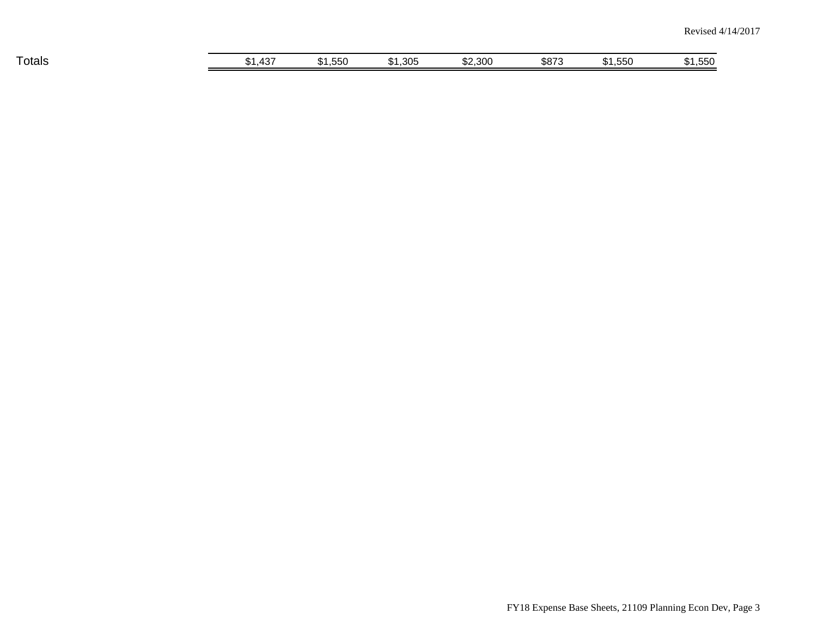| __<br>⊺otals | $10-1$<br>"<br>JD I<br>ு | ___<br>551<br>.JJU<br>. | ,305<br>∩ ⊿<br>ו מי | \$2,300 | \$873 | $ -$<br>-<br>.550<br>$\blacksquare$ | ,550<br>. D I |
|--------------|--------------------------|-------------------------|---------------------|---------|-------|-------------------------------------|---------------|
|              |                          |                         |                     |         |       |                                     |               |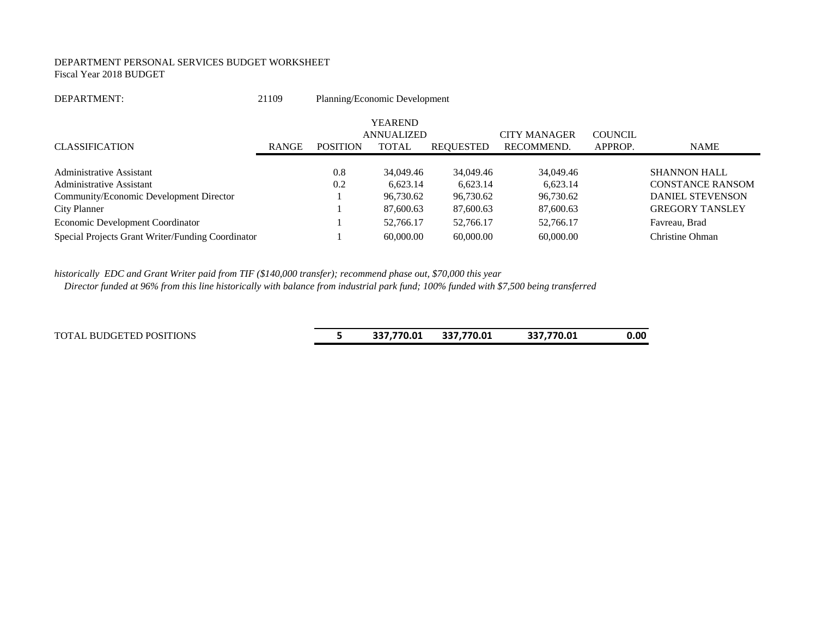#### DEPARTMENT PERSONAL SERVICES BUDGET WORKSHEET Fiscal Year 2018 BUDGET

| 21109        |                                                   |                       |                       |                                                    |                        |                                                                           |
|--------------|---------------------------------------------------|-----------------------|-----------------------|----------------------------------------------------|------------------------|---------------------------------------------------------------------------|
|              |                                                   | <b>YEAREND</b>        |                       | <b>CITY MANAGER</b>                                | <b>COUNCIL</b>         |                                                                           |
| <b>RANGE</b> | <b>POSITION</b>                                   | TOTAL                 | REOUESTED             | RECOMMEND.                                         | APPROP.                | <b>NAME</b>                                                               |
|              | 0.8<br>0.2                                        | 34,049.46<br>6,623.14 | 34,049.46<br>6,623.14 | 34,049.46<br>6,623.14                              |                        | <b>SHANNON HALL</b><br><b>CONSTANCE RANSOM</b><br><b>DANIEL STEVENSON</b> |
|              |                                                   | 87,600.63             | 87,600.63             | 87,600.63                                          |                        | <b>GREGORY TANSLEY</b>                                                    |
|              |                                                   | 52,766.17             | 52,766.17             | 52,766.17                                          |                        | Favreau, Brad                                                             |
|              |                                                   | 60,000.00             | 60,000.00             | 60,000.00                                          |                        | Christine Ohman                                                           |
|              | Special Projects Grant Writer/Funding Coordinator |                       | 96,730.62             | Planning/Economic Development<br><b>ANNUALIZED</b> | 96.730.62<br>96.730.62 |                                                                           |

*historically EDC and Grant Writer paid from TIF (\$140,000 transfer); recommend phase out, \$70,000 this year*

 *Director funded at 96% from this line historically with balance from industrial park fund; 100% funded with \$7,500 being transferred*

TOTAL BUDGETED POSITIONS **5 337,770.01 337,770.01 337,770.01 0.00**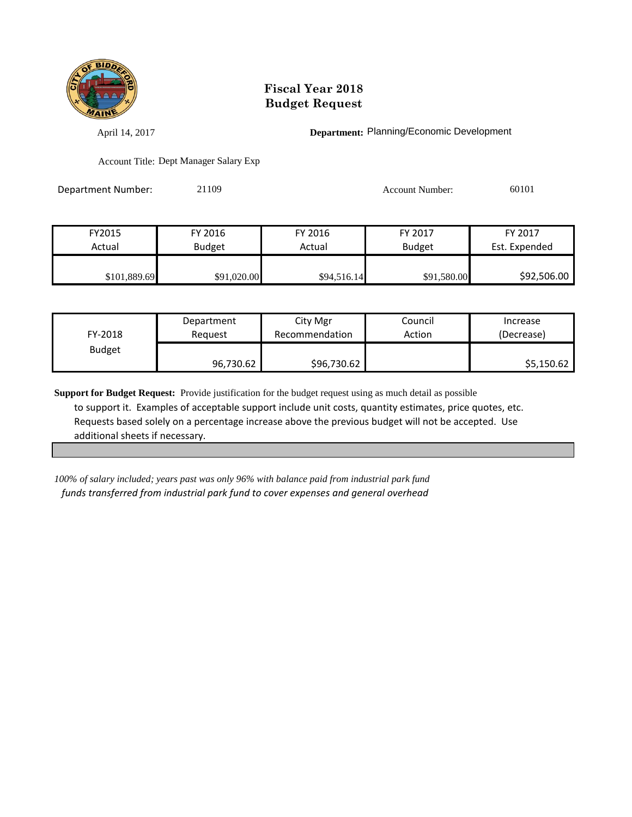

April 14, 2017 **Department:** Planning/Economic Development

Account Title: Dept Manager Salary Exp

Department Number: 21109 Account Number: 60101

| FY2015       | FY 2016     | FY 2016     | FY 2017       | FY 2017       |
|--------------|-------------|-------------|---------------|---------------|
| Actual       | Budget      | Actual      | <b>Budget</b> | Est. Expended |
|              |             |             |               |               |
| \$101,889.69 | \$91,020.00 | \$94,516.14 | \$91,580.00   | \$92,506.00   |

| FY-2018       | Department | City Mgr       | Council | Increase   |
|---------------|------------|----------------|---------|------------|
|               | Reauest    | Recommendation | Action  | (Decrease) |
| <b>Budget</b> | 96,730.62  | \$96,730.62    |         | \$5,150.62 |

**Support for Budget Request:** Provide justification for the budget request using as much detail as possible to support it. Examples of acceptable support include unit costs, quantity estimates, price quotes, etc. Requests based solely on a percentage increase above the previous budget will not be accepted. Use additional sheets if necessary.

*100% of salary included; years past was only 96% with balance paid from industrial park fund funds transferred from industrial park fund to cover expenses and general overhead*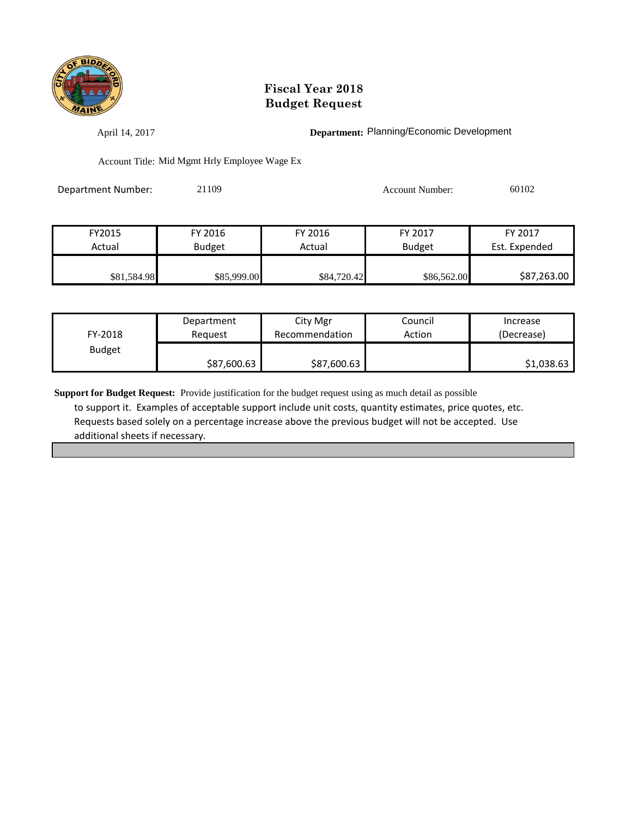

April 14, 2017 **Department:** Planning/Economic Development

Account Title: Mid Mgmt Hrly Employee Wage Ex

Department Number: 21109 Account Number: 60102

| FY2015      | FY 2016       | FY 2016     | FY 2017       | FY 2017       |
|-------------|---------------|-------------|---------------|---------------|
| Actual      | <b>Budget</b> | Actual      | <b>Budget</b> | Est. Expended |
|             |               |             |               |               |
| \$81,584.98 | \$85,999.00   | \$84,720.42 | \$86,562.00   | \$87,263.00   |

| FY-2018       | Department  | City Mgr       | Council | Increase   |
|---------------|-------------|----------------|---------|------------|
|               | Reauest     | Recommendation | Action  | (Decrease) |
| <b>Budget</b> | \$87,600.63 | \$87,600.63    |         | \$1,038.63 |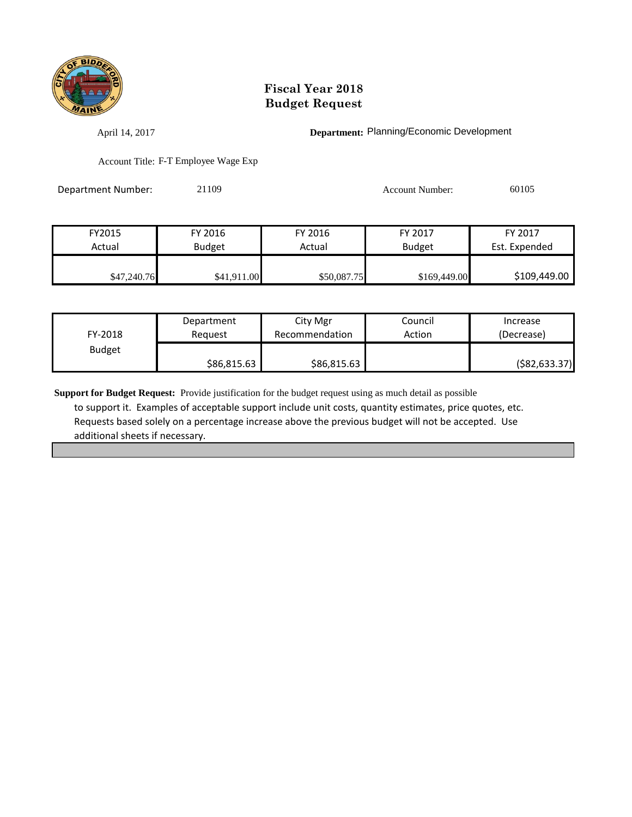

April 14, 2017 **Department:** Planning/Economic Development

Account Title: F-T Employee Wage Exp

Department Number: 21109 Account Number: 60105

| FY2015      | FY 2016       | FY 2016     | FY 2017       | FY 2017       |
|-------------|---------------|-------------|---------------|---------------|
| Actual      | <b>Budget</b> | Actual      | <b>Budget</b> | Est. Expended |
|             |               |             |               |               |
| \$47,240.76 | \$41,911.00   | \$50,087.75 | \$169,449.00  | \$109,449.00  |

| FY-2018       | Department  | City Mgr       | Council | Increase        |
|---------------|-------------|----------------|---------|-----------------|
|               | Reauest     | Recommendation | Action  | (Decrease)      |
| <b>Budget</b> | \$86,815.63 | \$86,815.63    |         | ( \$82, 633.37) |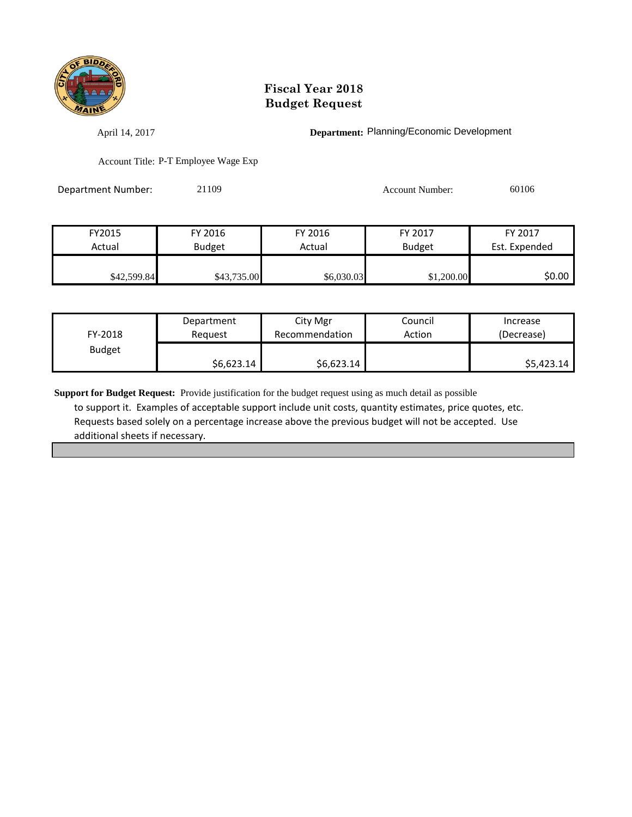

April 14, 2017 **Department:** Planning/Economic Development

Account Title: P-T Employee Wage Exp

Department Number: 21109 Account Number: 60106

| FY2015      | FY 2016       | FY 2016    | FY 2017       | FY 2017       |
|-------------|---------------|------------|---------------|---------------|
| Actual      | <b>Budget</b> | Actual     | <b>Budget</b> | Est. Expended |
|             |               |            |               |               |
| \$42,599.84 | \$43,735.00   | \$6,030.03 | \$1,200.00    | \$0.00        |

| FY-2018       | Department | City Mgr       | Council | Increase   |
|---------------|------------|----------------|---------|------------|
|               | Reauest    | Recommendation | Action  | (Decrease) |
| <b>Budget</b> | \$6,623.14 | \$6,623.14     |         | \$5,423.14 |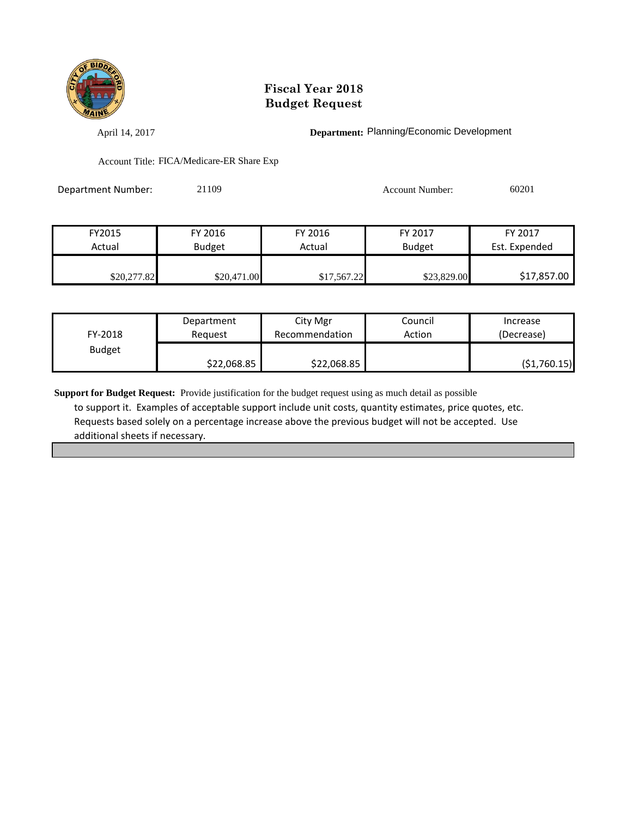

April 14, 2017 **Department:** Planning/Economic Development

Account Title: FICA/Medicare-ER Share Exp

| Department Number: | 21109 | Account Number: | 60201 |
|--------------------|-------|-----------------|-------|
|                    |       |                 |       |

| FY2015      | FY 2016     | FY 2016     | FY 2017       | FY 2017       |
|-------------|-------------|-------------|---------------|---------------|
| Actual      | Budget      | Actual      | <b>Budget</b> | Est. Expended |
|             |             |             |               |               |
| \$20,277.82 | \$20,471.00 | \$17,567.22 | \$23,829.00   | \$17,857.00   |

| FY-2018       | Department  | City Mgr       | Council | Increase    |
|---------------|-------------|----------------|---------|-------------|
|               | Reauest     | Recommendation | Action  | (Decrease)  |
| <b>Budget</b> | \$22,068.85 | \$22,068.85    |         | (51,760.15) |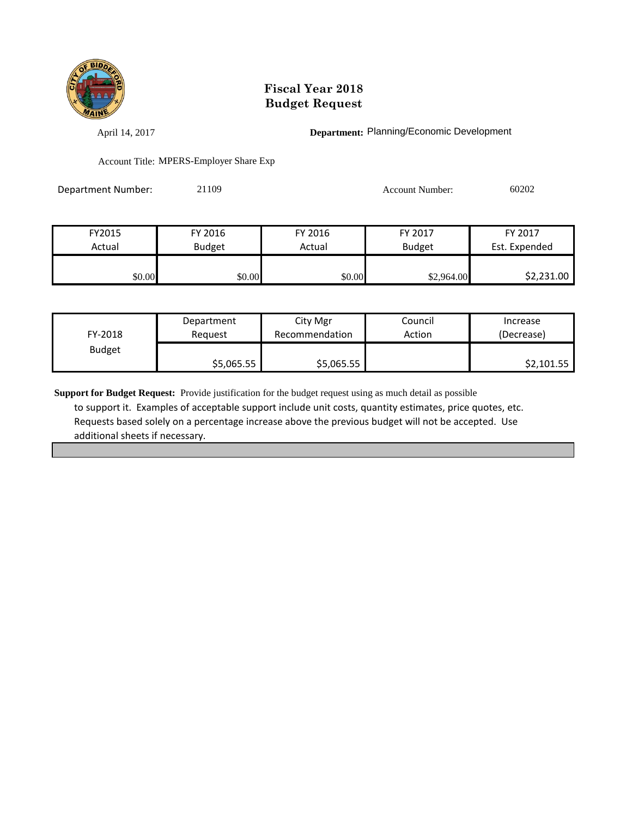

April 14, 2017 **Department:** Planning/Economic Development

Account Title: MPERS-Employer Share Exp

| <b>Department Number:</b> | 21109 | Account Number: | 60202 |
|---------------------------|-------|-----------------|-------|
|                           |       |                 |       |

| FY2015 | FY 2016       | FY 2016 | FY 2017       | FY 2017       |
|--------|---------------|---------|---------------|---------------|
| Actual | <b>Budget</b> | Actual  | <b>Budget</b> | Est. Expended |
|        |               |         |               |               |
| \$0.00 | \$0.00        | \$0.00  | \$2,964.00    | \$2,231.00    |

| FY-2018       | Department | City Mgr       | Council | Increase   |
|---------------|------------|----------------|---------|------------|
|               | Reauest    | Recommendation | Action  | (Decrease) |
| <b>Budget</b> | \$5,065.55 | \$5,065.55     |         | \$2,101.55 |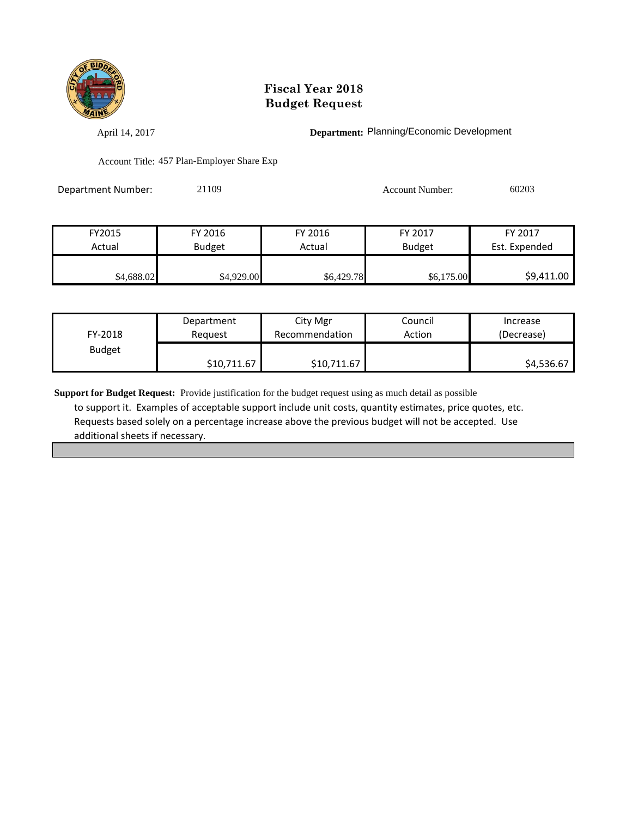

April 14, 2017 **Department:** Planning/Economic Development

Account Title: 457 Plan-Employer Share Exp

| Department Number: | 21109 | <b>Account Number:</b> | 60203 |
|--------------------|-------|------------------------|-------|
|                    |       |                        |       |

| FY2015     | FY 2016       | FY 2016    | FY 2017       | FY 2017       |
|------------|---------------|------------|---------------|---------------|
| Actual     | <b>Budget</b> | Actual     | <b>Budget</b> | Est. Expended |
|            |               |            |               |               |
| \$4,688.02 | \$4,929.00    | \$6,429.78 | \$6,175.00    | \$9,411.00    |

| FY-2018       | Department  | City Mgr       | Council | Increase   |
|---------------|-------------|----------------|---------|------------|
|               | Reauest     | Recommendation | Action  | (Decrease) |
| <b>Budget</b> | \$10,711.67 | \$10,711.67    |         | \$4,536.67 |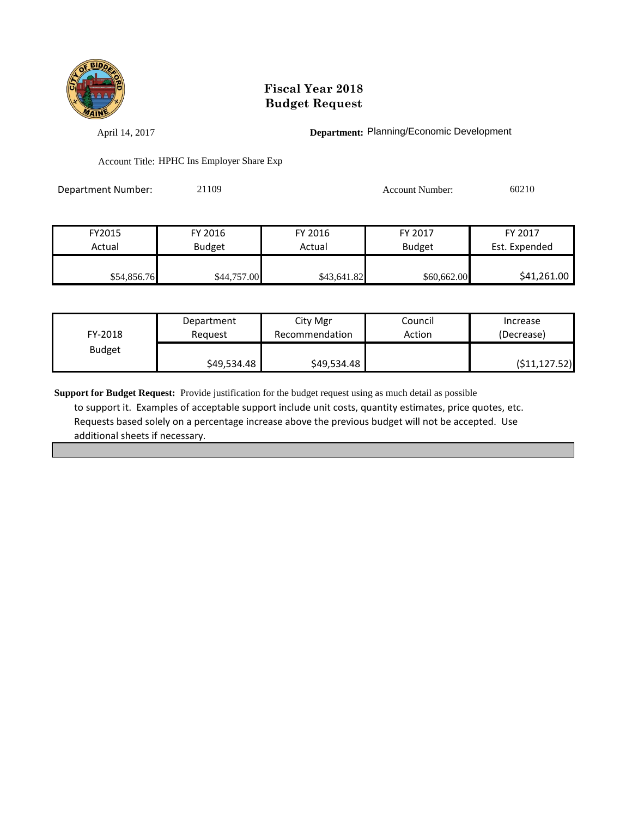

April 14, 2017 **Department:** Planning/Economic Development

Account Title: HPHC Ins Employer Share Exp

| Department Number: | 21109 | Account Number: | 60210 |
|--------------------|-------|-----------------|-------|
|                    |       |                 |       |

| FY2015      | FY 2016     | FY 2016     | FY 2017       | FY 2017       |
|-------------|-------------|-------------|---------------|---------------|
| Actual      | Budget      | Actual      | <b>Budget</b> | Est. Expended |
|             |             |             |               |               |
| \$54,856.76 | \$44,757.00 | \$43,641.82 | \$60,662.00   | \$41,261.00   |

| FY-2018       | Department  | City Mgr       | Council | Increase      |
|---------------|-------------|----------------|---------|---------------|
|               | Reauest     | Recommendation | Action  | (Decrease)    |
| <b>Budget</b> | \$49,534.48 | \$49,534.48    |         | (511, 127.52) |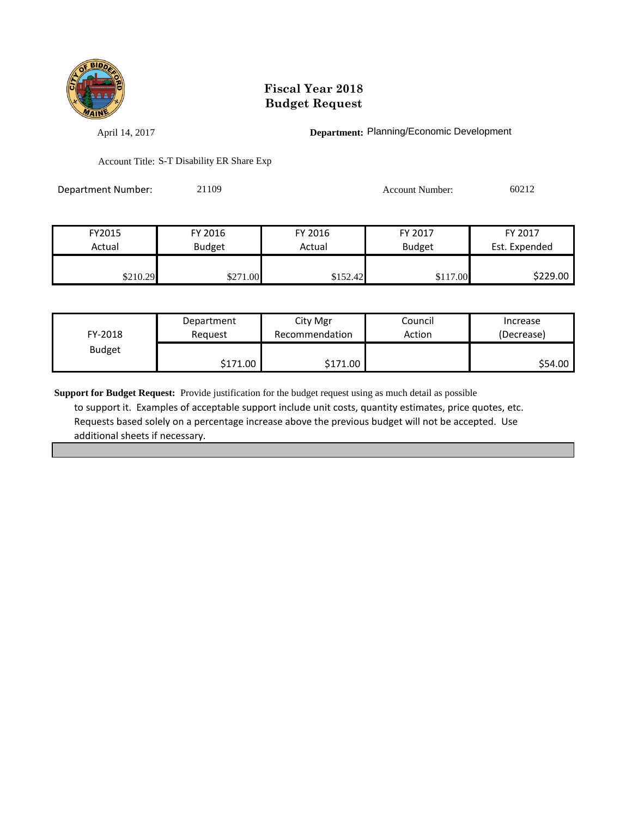

April 14, 2017 **Department:** Planning/Economic Development

Account Title: S-T Disability ER Share Exp

Department Number: 21109 Account Number: 60212

| FY2015   | FY 2016       | FY 2016  | FY 2017       | FY 2017       |
|----------|---------------|----------|---------------|---------------|
| Actual   | <b>Budget</b> | Actual   | <b>Budget</b> | Est. Expended |
|          |               |          |               |               |
| \$210.29 | \$271.00      | \$152.42 | \$117.00      | \$229.00      |

| FY-2018       | Department | City Mgr       | Council | Increase   |
|---------------|------------|----------------|---------|------------|
|               | Reguest    | Recommendation | Action  | (Decrease) |
| <b>Budget</b> | \$171.00   | \$171.00       |         | S54.00     |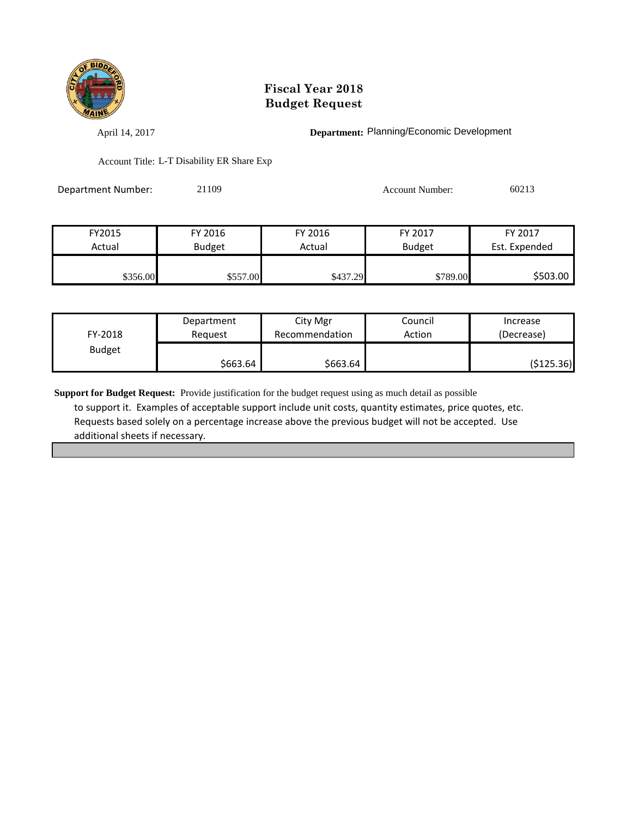

April 14, 2017 **Department:** Planning/Economic Development

Account Title: L-T Disability ER Share Exp

Department Number: 21109 Account Number: 60213

| FY2015   | FY 2016       | FY 2016  | FY 2017       | FY 2017       |
|----------|---------------|----------|---------------|---------------|
| Actual   | <b>Budget</b> | Actual   | <b>Budget</b> | Est. Expended |
|          |               |          |               |               |
| \$356.00 | \$557.00      | \$437.29 | \$789.00      | \$503.00      |

| FY-2018       | Department | City Mgr       | Council | Increase   |
|---------------|------------|----------------|---------|------------|
|               | Reauest    | Recommendation | Action  | (Decrease) |
| <b>Budget</b> | \$663.64   | \$663.64       |         | (\$125.36) |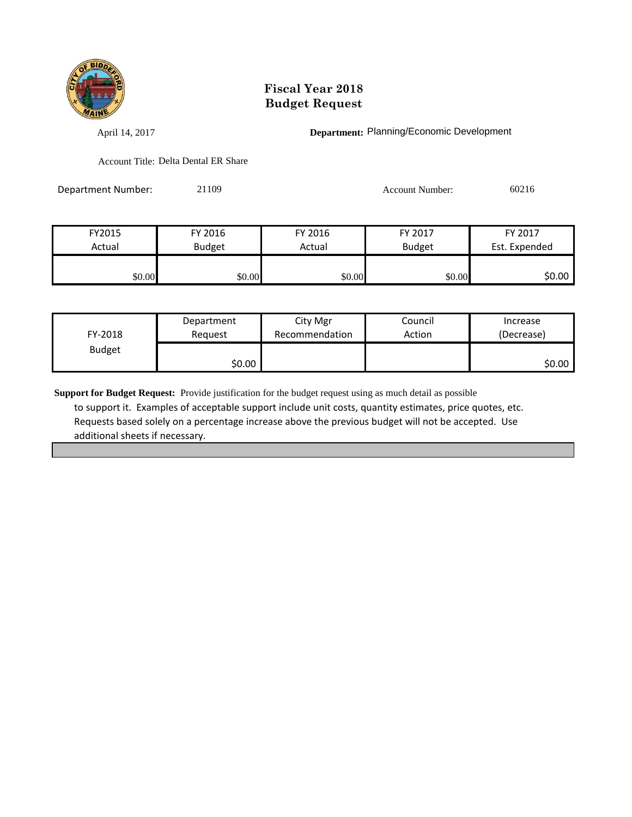

April 14, 2017 **Department:** Planning/Economic Development

Account Title: Delta Dental ER Share

Department Number: 21109 Account Number: 60216

| FY2015 | FY 2016       | FY 2016 | FY 2017       | FY 2017       |
|--------|---------------|---------|---------------|---------------|
| Actual | <b>Budget</b> | Actual  | <b>Budget</b> | Est. Expended |
|        |               |         |               |               |
| \$0.00 | \$0.00        | \$0.00  | \$0.00        | \$0.00        |

| FY-2018       | Department | City Mgr       | Council | Increase   |
|---------------|------------|----------------|---------|------------|
|               | Reguest    | Recommendation | Action  | (Decrease) |
| <b>Budget</b> | \$0.00     |                |         | \$0.00 l   |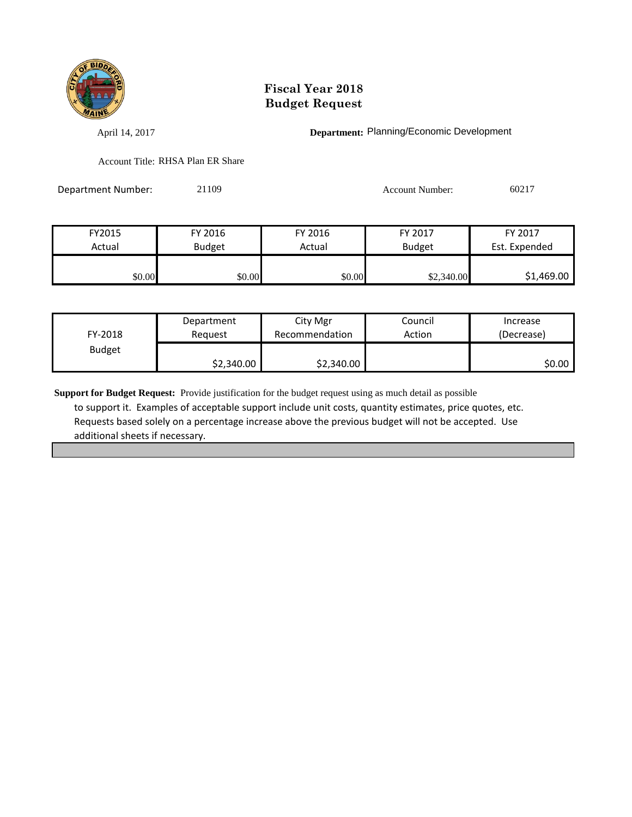

April 14, 2017 **Department:** Planning/Economic Development

Account Title: RHSA Plan ER Share

Department Number: 21109 Account Number: 60217

| FY2015 | FY 2016       | FY 2016 | <b>FY 2017</b> | FY 2017       |
|--------|---------------|---------|----------------|---------------|
| Actual | <b>Budget</b> | Actual  | <b>Budget</b>  | Est. Expended |
| \$0.00 | \$0.00        | \$0.00  | \$2,340.00     | \$1,469.00    |

| FY-2018       | Department | City Mgr       | Council | Increase   |
|---------------|------------|----------------|---------|------------|
|               | Reauest    | Recommendation | Action  | (Decrease) |
| <b>Budget</b> | \$2,340.00 | \$2,340.00     |         | SO.OO I    |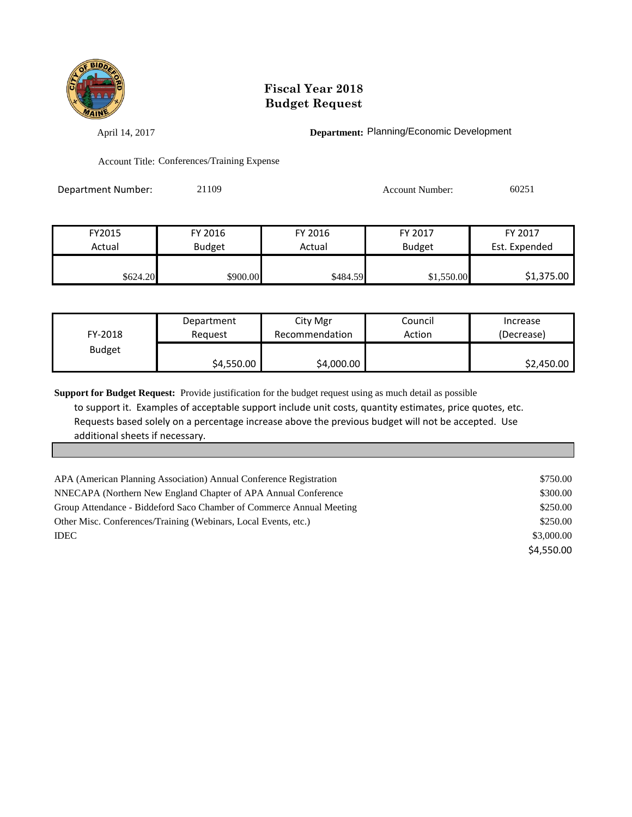

April 14, 2017 **Department:** Planning/Economic Development

Account Title: Conferences/Training Expense

| Department Number: | 21109 | <b>Account Number:</b> | 60251 |
|--------------------|-------|------------------------|-------|
|                    |       |                        |       |

| FY2015   | FY 2016       | FY 2016  | FY 2017       | FY 2017       |
|----------|---------------|----------|---------------|---------------|
| Actual   | <b>Budget</b> | Actual   | <b>Budget</b> | Est. Expended |
|          |               |          |               |               |
| \$624.20 | \$900.00      | \$484.59 | \$1,550.00    | \$1,375.00    |

| FY-2018       | Department | City Mgr       | Council | Increase   |
|---------------|------------|----------------|---------|------------|
|               | Reauest    | Recommendation | Action  | (Decrease) |
| <b>Budget</b> | \$4,550.00 | \$4,000.00     |         | \$2,450.00 |

| APA (American Planning Association) Annual Conference Registration   | \$750.00   |
|----------------------------------------------------------------------|------------|
| NNECAPA (Northern New England Chapter of APA Annual Conference)      | \$300.00   |
| Group Attendance - Biddeford Saco Chamber of Commerce Annual Meeting | \$250.00   |
| Other Misc. Conferences/Training (Webinars, Local Events, etc.)      | \$250.00   |
| <b>IDEC</b>                                                          | \$3,000.00 |
|                                                                      | \$4,550.00 |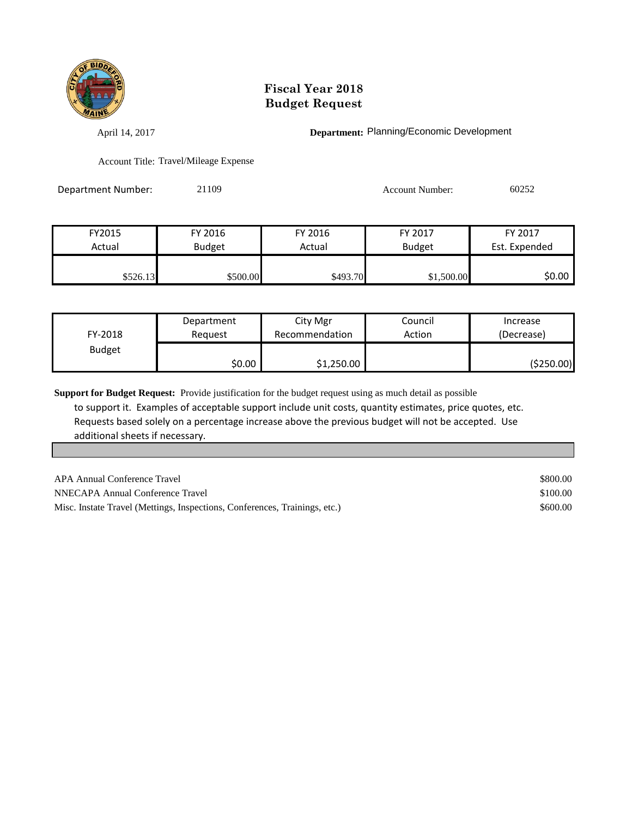

April 14, 2017 **Department:** Planning/Economic Development

Account Title: Travel/Mileage Expense

Department Number: 21109 Account Number: 60252

| FY2015   | FY 2016       | FY 2016  | FY 2017       | FY 2017       |
|----------|---------------|----------|---------------|---------------|
| Actual   | <b>Budget</b> | Actual   | <b>Budget</b> | Est. Expended |
|          |               |          |               |               |
| \$526.13 | \$500.00      | \$493.70 | \$1,500.00    | \$0.00        |

| FY-2018       | Department | City Mgr       | Council | Increase   |
|---------------|------------|----------------|---------|------------|
|               | Reauest    | Recommendation | Action  | (Decrease) |
| <b>Budget</b> | \$0.00     | \$1,250.00     |         | (\$250.00) |

| APA Annual Conference Travel                                               | \$800.00 |
|----------------------------------------------------------------------------|----------|
| NNECAPA Annual Conference Travel                                           | \$100.00 |
| Misc. Instate Travel (Mettings, Inspections, Conferences, Trainings, etc.) | \$600.00 |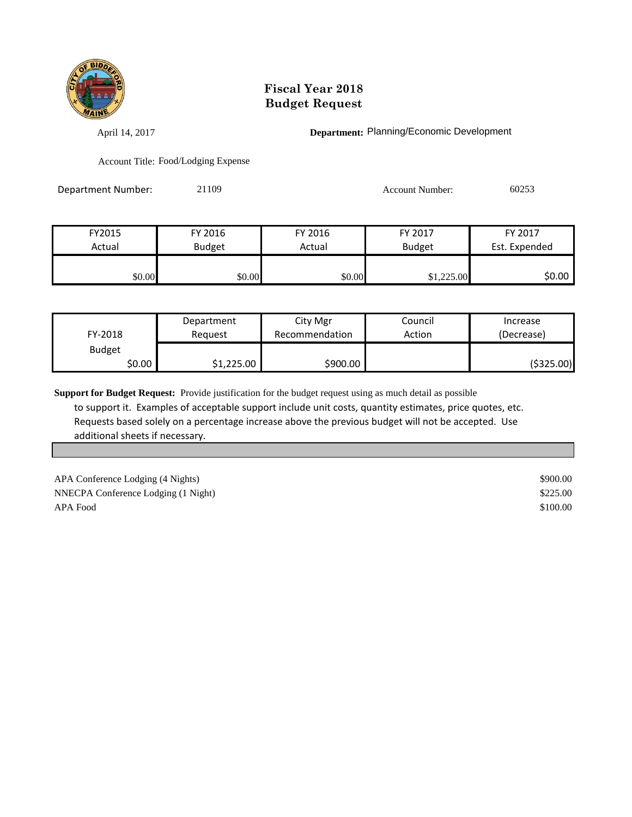

April 14, 2017 **Department:** Planning/Economic Development

Account Title: Food/Lodging Expense

Department Number: 21109 Account Number: 60253

| FY2015 | FY 2016       | FY 2016 | FY 2017       | FY 2017       |
|--------|---------------|---------|---------------|---------------|
| Actual | <b>Budget</b> | Actual  | <b>Budget</b> | Est. Expended |
|        |               |         |               |               |
| \$0.00 | \$0.00        | \$0.00  | \$1,225.00    | \$0.00        |

| FY-2018       | Department<br>Reauest | City Mgr<br>Recommendation | Council<br>Action | Increase<br>(Decrease) |
|---------------|-----------------------|----------------------------|-------------------|------------------------|
| <b>Budget</b> |                       |                            |                   |                        |
| \$0.00        | \$1,225.00            | \$900.00                   |                   | (\$325.00)             |

**Support for Budget Request:** Provide justification for the budget request using as much detail as possible to support it. Examples of acceptable support include unit costs, quantity estimates, price quotes, etc. Requests based solely on a percentage increase above the previous budget will not be accepted. Use additional sheets if necessary.

APA Conference Lodging (4 Nights)  $$900.00$ NNECPA Conference Lodging (1 Night) \$225.00 APA Food \$100.00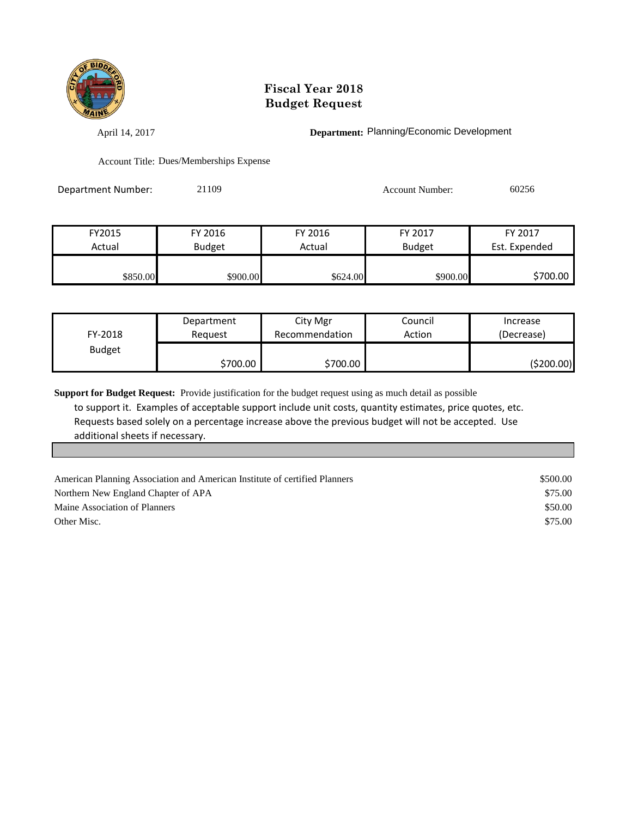

April 14, 2017 **Department:** Planning/Economic Development

Account Title: Dues/Memberships Expense

Department Number: 21109 Account Number: 60256

| FY2015   | FY 2016       | FY 2016   | FY 2017       | FY 2017       |
|----------|---------------|-----------|---------------|---------------|
| Actual   | <b>Budget</b> | Actual    | <b>Budget</b> | Est. Expended |
|          |               |           |               |               |
| \$850.00 | \$900.00      | \$624.00I | \$900.00      | \$700.00      |

| FY-2018       | Department | City Mgr       | Council | Increase   |
|---------------|------------|----------------|---------|------------|
|               | Reauest    | Recommendation | Action  | (Decrease) |
| <b>Budget</b> | \$700.00   | \$700.00       |         | (\$200.00) |

| American Planning Association and American Institute of certified Planners | \$500.00 |
|----------------------------------------------------------------------------|----------|
| Northern New England Chapter of APA                                        | \$75.00  |
| Maine Association of Planners                                              | \$50.00  |
| Other Misc.                                                                | \$75.00  |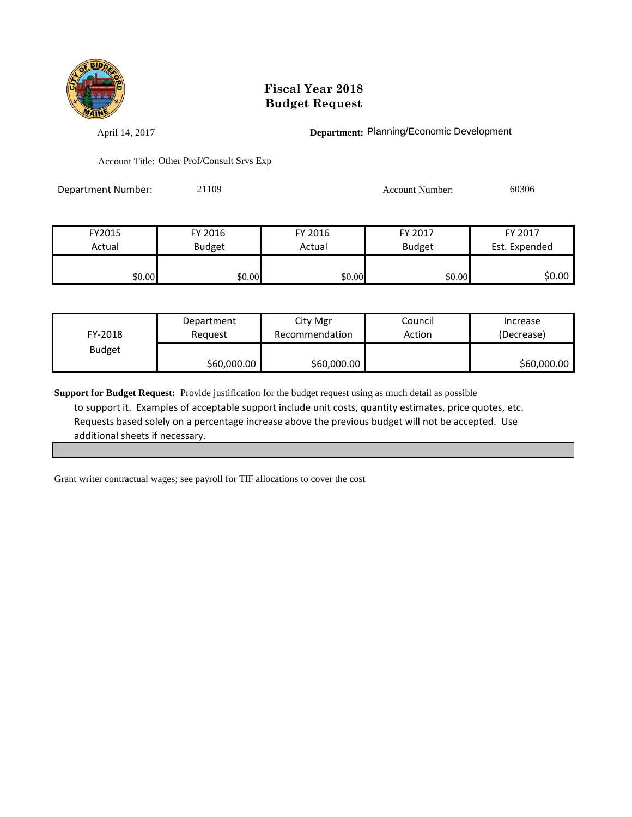

April 14, 2017 **Department:** Planning/Economic Development

Account Title: Other Prof/Consult Srvs Exp

Department Number: 21109 Account Number: 60306

| FY2015 | FY 2016       | FY 2016                 | FY 2017 | FY 2017       |
|--------|---------------|-------------------------|---------|---------------|
| Actual | <b>Budget</b> | <b>Budget</b><br>Actual |         | Est. Expended |
|        |               |                         |         |               |
| \$0.00 | \$0.00        | \$0.00                  | \$0.00  | \$0.00        |

| FY-2018       | Department  | City Mgr       | Council | Increase    |
|---------------|-------------|----------------|---------|-------------|
|               | Reauest     | Recommendation | Action  | (Decrease)  |
| <b>Budget</b> | \$60,000.00 | \$60,000.00    |         | \$60,000.00 |

**Support for Budget Request:** Provide justification for the budget request using as much detail as possible to support it. Examples of acceptable support include unit costs, quantity estimates, price quotes, etc. Requests based solely on a percentage increase above the previous budget will not be accepted. Use additional sheets if necessary.

Grant writer contractual wages; see payroll for TIF allocations to cover the cost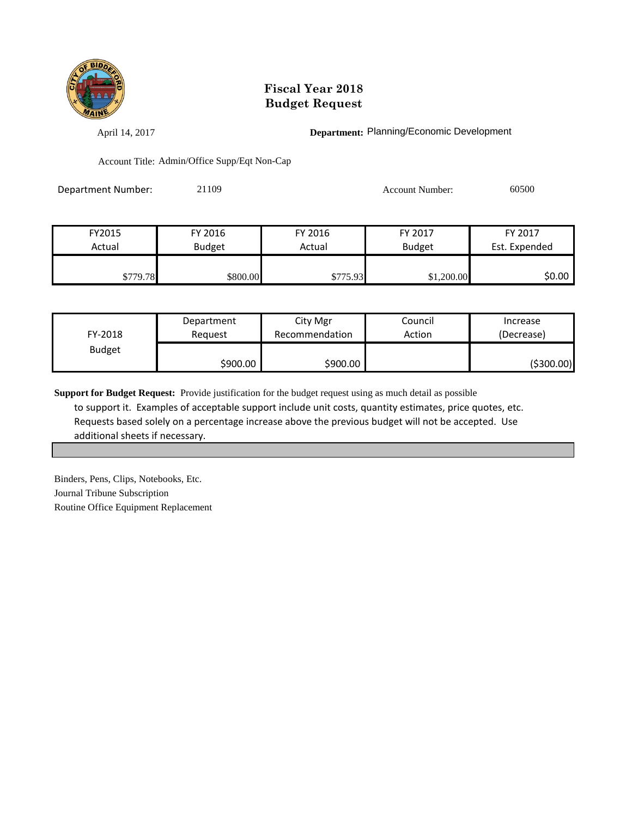

April 14, 2017 **Department:** Planning/Economic Development

Account Title: Admin/Office Supp/Eqt Non-Cap

| Department Number: | 21109 | <b>Account Number:</b> | 60500 |
|--------------------|-------|------------------------|-------|
|                    |       |                        |       |

| FY2015   | FY 2016       | FY 2016                 | FY 2017    | FY 2017       |
|----------|---------------|-------------------------|------------|---------------|
| Actual   | <b>Budget</b> | <b>Budget</b><br>Actual |            | Est. Expended |
|          |               |                         |            |               |
| \$779.78 | \$800.00      | \$775.93                | \$1,200.00 | \$0.00 l      |

| FY-2018       | Department | City Mgr       | Council | Increase   |
|---------------|------------|----------------|---------|------------|
|               | Reauest    | Recommendation | Action  | (Decrease) |
| <b>Budget</b> | \$900.00   | \$900.00       |         | (\$300.00) |

**Support for Budget Request:** Provide justification for the budget request using as much detail as possible to support it. Examples of acceptable support include unit costs, quantity estimates, price quotes, etc. Requests based solely on a percentage increase above the previous budget will not be accepted. Use additional sheets if necessary.

Binders, Pens, Clips, Notebooks, Etc. Journal Tribune Subscription Routine Office Equipment Replacement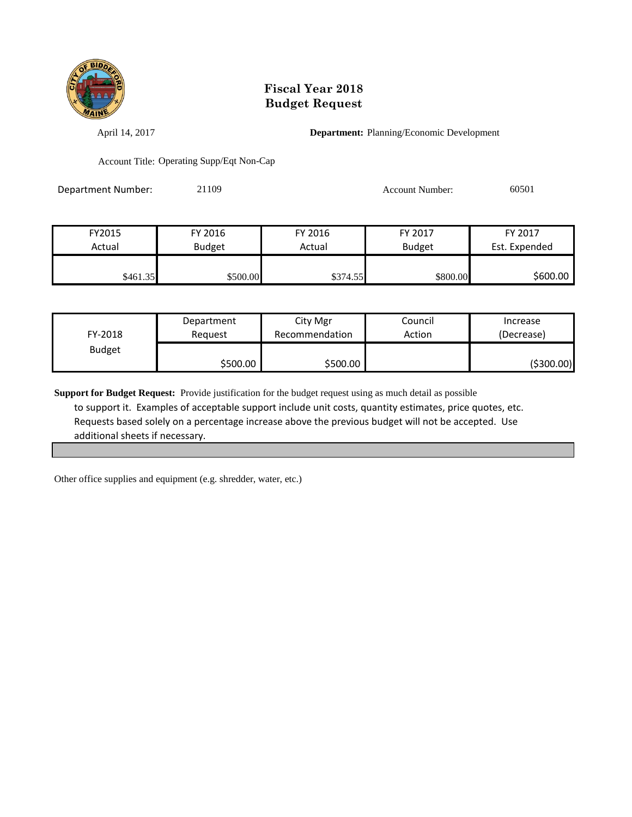

April 14, 2017 **Department:** Planning/Economic Development

Account Title: Operating Supp/Eqt Non-Cap

Department Number: 21109 Account Number: 60501

| FY2015   | FY 2016       | FY 2016  | FY 2017       | FY 2017       |
|----------|---------------|----------|---------------|---------------|
| Actual   | <b>Budget</b> | Actual   | <b>Budget</b> | Est. Expended |
|          |               |          |               |               |
| \$461.35 | \$500.00      | \$374.55 | \$800.00      | \$600.00      |

| FY-2018       | Department | City Mgr       | Council | Increase   |
|---------------|------------|----------------|---------|------------|
|               | Reauest    | Recommendation | Action  | (Decrease) |
| <b>Budget</b> | \$500.00   | \$500.00       |         | (\$300.00) |

**Support for Budget Request:** Provide justification for the budget request using as much detail as possible to support it. Examples of acceptable support include unit costs, quantity estimates, price quotes, etc. Requests based solely on a percentage increase above the previous budget will not be accepted. Use additional sheets if necessary.

Other office supplies and equipment (e.g. shredder, water, etc.)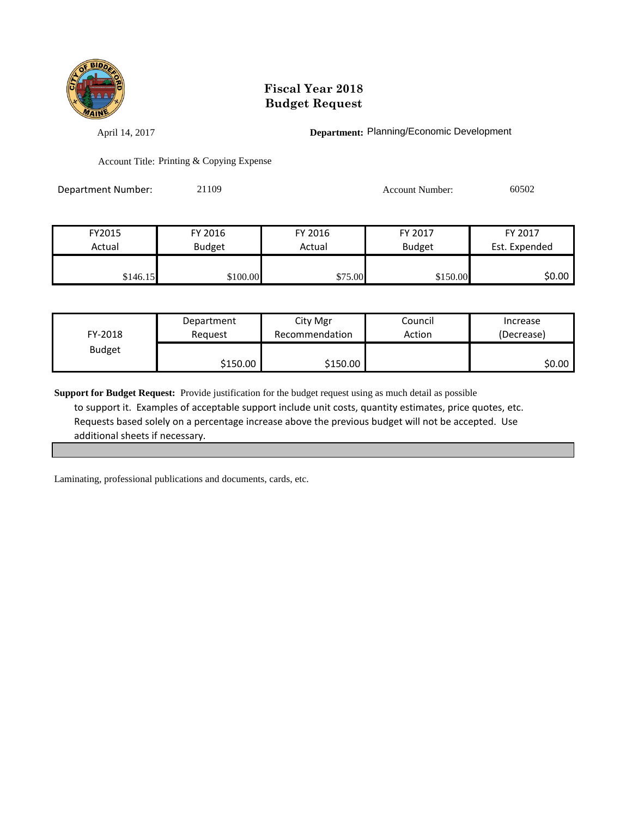

April 14, 2017 **Department:** Planning/Economic Development

Account Title: Printing & Copying Expense

Department Number: 21109 21109 Account Number: 60502

| FY2015   | FY 2016       | FY 2016 | FY 2017       | FY 2017       |
|----------|---------------|---------|---------------|---------------|
| Actual   | <b>Budget</b> | Actual  | <b>Budget</b> | Est. Expended |
|          |               |         |               |               |
| \$146.15 | \$100.00      | \$75.00 | \$150.00      | \$0.00        |

| FY-2018       | Department | City Mgr       | Council | Increase   |
|---------------|------------|----------------|---------|------------|
|               | Reauest    | Recommendation | Action  | (Decrease) |
| <b>Budget</b> | \$150.00   | \$150.00       |         | \$0.00     |

**Support for Budget Request:** Provide justification for the budget request using as much detail as possible to support it. Examples of acceptable support include unit costs, quantity estimates, price quotes, etc. Requests based solely on a percentage increase above the previous budget will not be accepted. Use additional sheets if necessary.

Laminating, professional publications and documents, cards, etc.